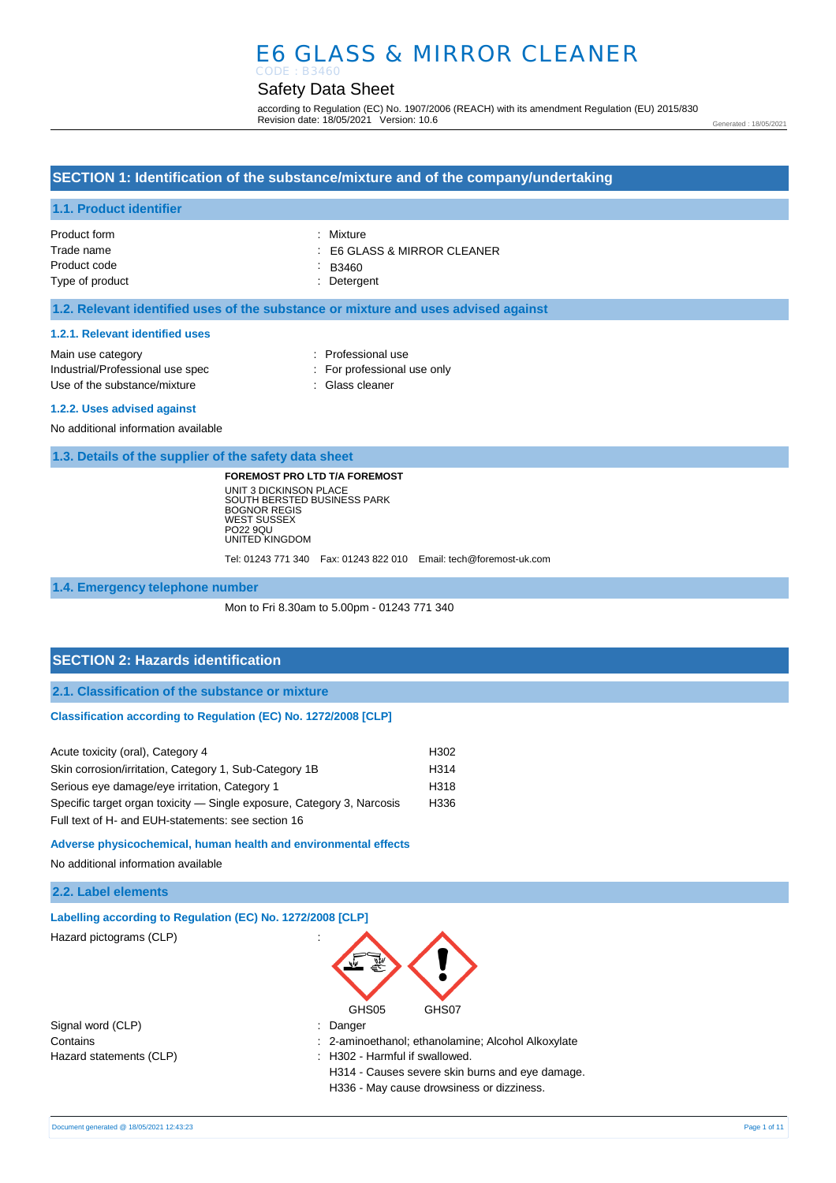# E6 GLASS & MIRROR CLEANER CODE : B3460

# Safety Data Sheet

according to Regulation (EC) No. 1907/2006 (REACH) with its amendment Regulation (EU) 2015/830 Revision date: 18/05/2021 Version: 10.6

Generated : 18/05/2021

## **SECTION 1: Identification of the substance/mixture and of the company/undertaking**

#### **1.1. Product identifier**

| Product form    | : Mixture                              |
|-----------------|----------------------------------------|
| Trade name      | $\therefore$ E6 GLASS & MIRROR CLEANER |
| Product code    | $-B3460$                               |
| Type of product | : Detergent                            |

#### **1.2. Relevant identified uses of the substance or mixture and uses advised against**

#### **1.2.1. Relevant identified uses**

| Main use category                | : Professional use          |
|----------------------------------|-----------------------------|
| Industrial/Professional use spec | : For professional use only |
| Use of the substance/mixture     | : Glass cleaner             |
|                                  |                             |

#### **1.2.2. Uses advised against**

No additional information available

**1.3. Details of the supplier of the safety data sheet**

**FOREMOST PRO LTD T/A FOREMOST** UNIT 3 DICKINSON PLACE SOUTH BERSTED BUSINESS PARK BOGNOR REGIS WEST SUSSEX PO22 9QU UNITED KINGDOM

Tel: 01243 771 340 Fax: 01243 822 010 Email: tech@foremost-uk.com

#### **1.4. Emergency telephone number**

Mon to Fri 8.30am to 5.00pm - 01243 771 340

### **SECTION 2: Hazards identification**

**2.1. Classification of the substance or mixture**

#### **Classification according to Regulation (EC) No. 1272/2008 [CLP]**

| Acute toxicity (oral), Category 4                                      | H302 |
|------------------------------------------------------------------------|------|
| Skin corrosion/irritation, Category 1, Sub-Category 1B                 | H314 |
| Serious eye damage/eye irritation, Category 1                          | H318 |
| Specific target organ toxicity — Single exposure, Category 3, Narcosis | H336 |
| Full text of H- and EUH-statements: see section 16                     |      |

**Adverse physicochemical, human health and environmental effects**

No additional information available

#### **2.2. Label elements**

| Labelling according to Regulation (EC) No. 1272/2008 [CLP] |                                                                                   |
|------------------------------------------------------------|-----------------------------------------------------------------------------------|
| Hazard pictograms (CLP)                                    | $\cdot$<br>GHS05<br>GHS07                                                         |
| Signal word (CLP)                                          | $:$ Danger                                                                        |
| Contains                                                   | : 2-aminoethanol; ethanolamine; Alcohol Alkoxylate                                |
| Hazard statements (CLP)                                    | : H302 - Harmful if swallowed.<br>H314 - Causes severe skin burns and eye damage. |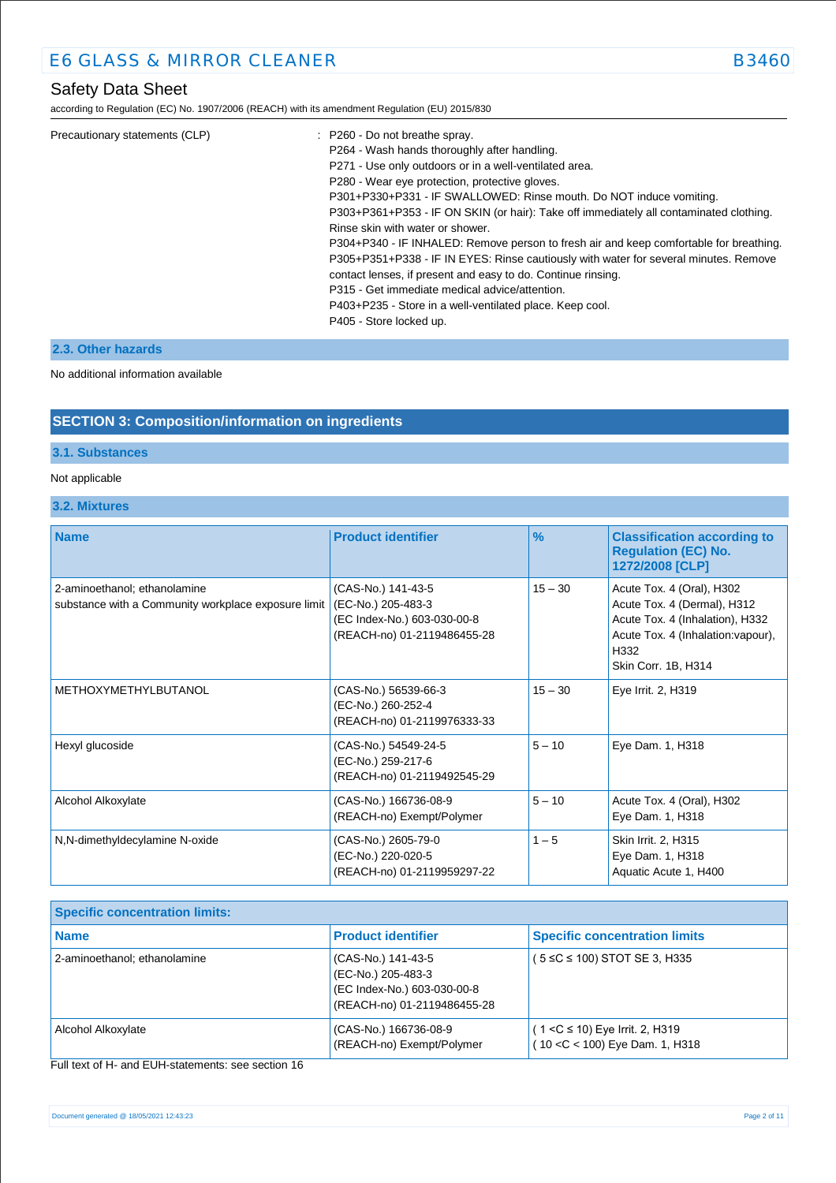according to Regulation (EC) No. 1907/2006 (REACH) with its amendment Regulation (EU) 2015/830

| Precautionary statements (CLP) | $\therefore$ P260 - Do not breathe spray.                                              |
|--------------------------------|----------------------------------------------------------------------------------------|
|                                | P264 - Wash hands thoroughly after handling.                                           |
|                                | P271 - Use only outdoors or in a well-ventilated area.                                 |
|                                | P280 - Wear eye protection, protective gloves.                                         |
|                                | P301+P330+P331 - IF SWALLOWED: Rinse mouth. Do NOT induce vomiting.                    |
|                                | P303+P361+P353 - IF ON SKIN (or hair): Take off immediately all contaminated clothing. |
|                                | Rinse skin with water or shower.                                                       |
|                                | P304+P340 - IF INHALED: Remove person to fresh air and keep comfortable for breathing. |
|                                | P305+P351+P338 - IF IN EYES: Rinse cautiously with water for several minutes. Remove   |
|                                | contact lenses, if present and easy to do. Continue rinsing.                           |
|                                | P315 - Get immediate medical advice/attention.                                         |
|                                | P403+P235 - Store in a well-ventilated place. Keep cool.                               |
|                                | P405 - Store locked up.                                                                |
|                                |                                                                                        |

### **2.3. Other hazards**

#### No additional information available

### **SECTION 3: Composition/information on ingredients**

### **3.1. Substances**

#### Not applicable

**3.2. Mixtures**

| <b>Name</b>                                                                         | <b>Product identifier</b>                                                                              | $\frac{9}{6}$ | <b>Classification according to</b><br><b>Regulation (EC) No.</b><br>1272/2008 [CLP]                                                                              |
|-------------------------------------------------------------------------------------|--------------------------------------------------------------------------------------------------------|---------------|------------------------------------------------------------------------------------------------------------------------------------------------------------------|
| 2-aminoethanol; ethanolamine<br>substance with a Community workplace exposure limit | (CAS-No.) 141-43-5<br>(EC-No.) 205-483-3<br>(EC Index-No.) 603-030-00-8<br>(REACH-no) 01-2119486455-28 | $15 - 30$     | Acute Tox. 4 (Oral), H302<br>Acute Tox. 4 (Dermal), H312<br>Acute Tox. 4 (Inhalation), H332<br>Acute Tox. 4 (Inhalation: vapour),<br>H332<br>Skin Corr. 1B, H314 |
| METHOXYMETHYLBUTANOL                                                                | (CAS-No.) 56539-66-3<br>(EC-No.) 260-252-4<br>(REACH-no) 01-2119976333-33                              | $15 - 30$     | Eye Irrit. 2, H319                                                                                                                                               |
| Hexyl glucoside                                                                     | (CAS-No.) 54549-24-5<br>(EC-No.) 259-217-6<br>(REACH-no) 01-2119492545-29                              | $5 - 10$      | Eye Dam. 1, H318                                                                                                                                                 |
| Alcohol Alkoxylate                                                                  | (CAS-No.) 166736-08-9<br>(REACH-no) Exempt/Polymer                                                     | $5 - 10$      | Acute Tox. 4 (Oral), H302<br>Eye Dam. 1, H318                                                                                                                    |
| N,N-dimethyldecylamine N-oxide                                                      | (CAS-No.) 2605-79-0<br>(EC-No.) 220-020-5<br>(REACH-no) 01-2119959297-22                               | $1 - 5$       | Skin Irrit. 2, H315<br>Eye Dam. 1, H318<br>Aquatic Acute 1, H400                                                                                                 |

| <b>Specific concentration limits:</b> |                                                                                                        |                                                                        |
|---------------------------------------|--------------------------------------------------------------------------------------------------------|------------------------------------------------------------------------|
| <b>Name</b>                           | <b>Product identifier</b>                                                                              | <b>Specific concentration limits</b>                                   |
| 2-aminoethanol; ethanolamine          | (CAS-No.) 141-43-5<br>(EC-No.) 205-483-3<br>(EC Index-No.) 603-030-00-8<br>(REACH-no) 01-2119486455-28 | $(5 \le C \le 100)$ STOT SE 3, H335                                    |
| Alcohol Alkoxylate                    | (CAS-No.) 166736-08-9<br>(REACH-no) Exempt/Polymer                                                     | $(1 < C \le 10)$ Eye Irrit. 2, H319<br>(10 < C < 100) Eye Dam. 1, H318 |

Full text of H- and EUH-statements: see section 16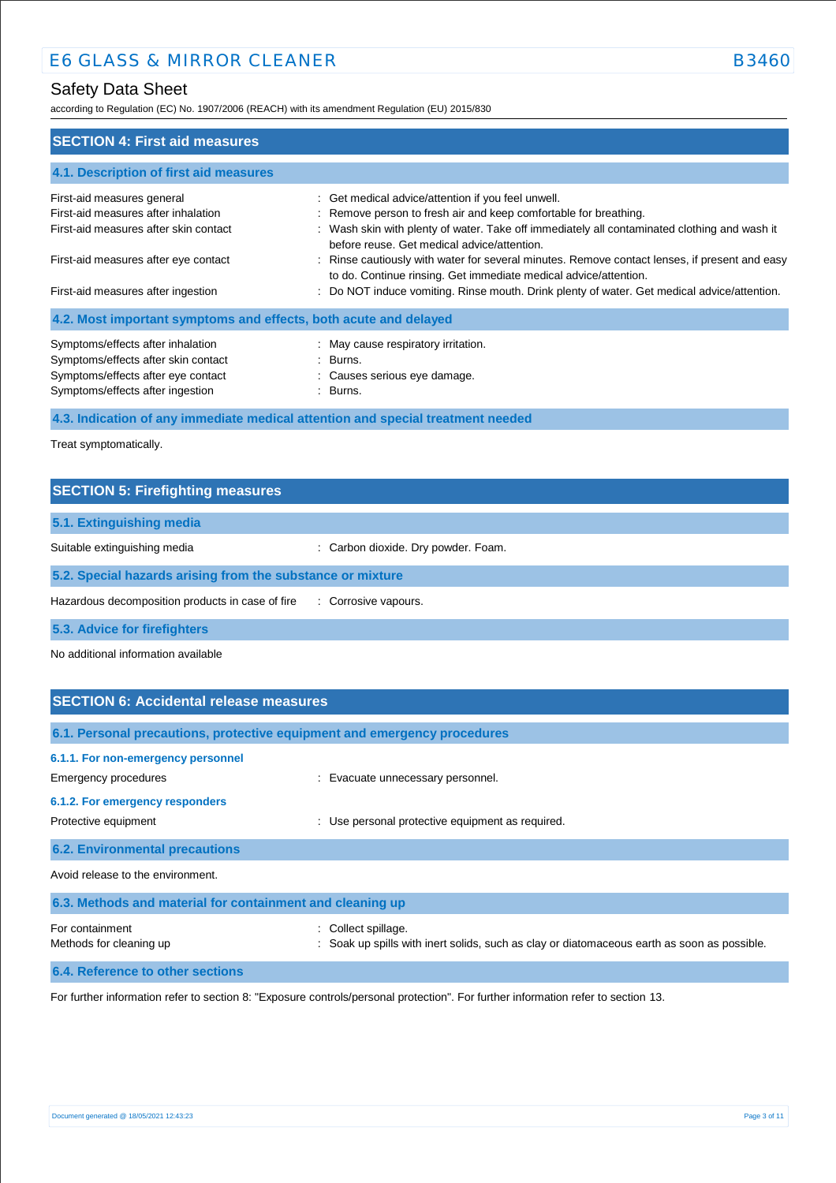according to Regulation (EC) No. 1907/2006 (REACH) with its amendment Regulation (EU) 2015/830

| <b>SECTION 4: First aid measures</b>                                                                                                               |                                                                                                                                                                                                                                                                       |
|----------------------------------------------------------------------------------------------------------------------------------------------------|-----------------------------------------------------------------------------------------------------------------------------------------------------------------------------------------------------------------------------------------------------------------------|
| 4.1. Description of first aid measures                                                                                                             |                                                                                                                                                                                                                                                                       |
| First-aid measures general<br>First-aid measures after inhalation<br>First-aid measures after skin contact                                         | : Get medical advice/attention if you feel unwell.<br>: Remove person to fresh air and keep comfortable for breathing.<br>: Wash skin with plenty of water. Take off immediately all contaminated clothing and wash it<br>before reuse. Get medical advice/attention. |
| First-aid measures after eye contact<br>First-aid measures after ingestion                                                                         | : Rinse cautiously with water for several minutes. Remove contact lenses, if present and easy<br>to do. Continue rinsing. Get immediate medical advice/attention.<br>: Do NOT induce vomiting. Rinse mouth. Drink plenty of water. Get medical advice/attention.      |
| 4.2. Most important symptoms and effects, both acute and delayed                                                                                   |                                                                                                                                                                                                                                                                       |
| Symptoms/effects after inhalation<br>Symptoms/effects after skin contact<br>Symptoms/effects after eye contact<br>Symptoms/effects after ingestion | : May cause respiratory irritation.<br>: Burns.<br>: Causes serious eye damage.<br>: Burns.                                                                                                                                                                           |

**4.3. Indication of any immediate medical attention and special treatment needed**

Treat symptomatically.

| <b>SECTION 5: Firefighting measures</b>                    |                                   |  |
|------------------------------------------------------------|-----------------------------------|--|
| 5.1. Extinguishing media                                   |                                   |  |
| Suitable extinguishing media                               | Carbon dioxide. Dry powder. Foam. |  |
| 5.2. Special hazards arising from the substance or mixture |                                   |  |
| Hazardous decomposition products in case of fire           | : Corrosive vapours.              |  |
| 5.3. Advice for firefighters                               |                                   |  |

No additional information available

| <b>SECTION 6: Accidental release measures</b>                                                                         |                                                                                                                  |  |
|-----------------------------------------------------------------------------------------------------------------------|------------------------------------------------------------------------------------------------------------------|--|
|                                                                                                                       | 6.1. Personal precautions, protective equipment and emergency procedures                                         |  |
| 6.1.1. For non-emergency personnel<br>Emergency procedures<br>6.1.2. For emergency responders<br>Protective equipment | : Evacuate unnecessary personnel.<br>Use personal protective equipment as required.                              |  |
| <b>6.2. Environmental precautions</b>                                                                                 |                                                                                                                  |  |
| Avoid release to the environment.                                                                                     |                                                                                                                  |  |
| 6.3. Methods and material for containment and cleaning up                                                             |                                                                                                                  |  |
| For containment<br>Methods for cleaning up                                                                            | Collect spillage.<br>: Soak up spills with inert solids, such as clay or diatomaceous earth as soon as possible. |  |
| 6.4. Reference to other sections                                                                                      |                                                                                                                  |  |

For further information refer to section 8: "Exposure controls/personal protection". For further information refer to section 13.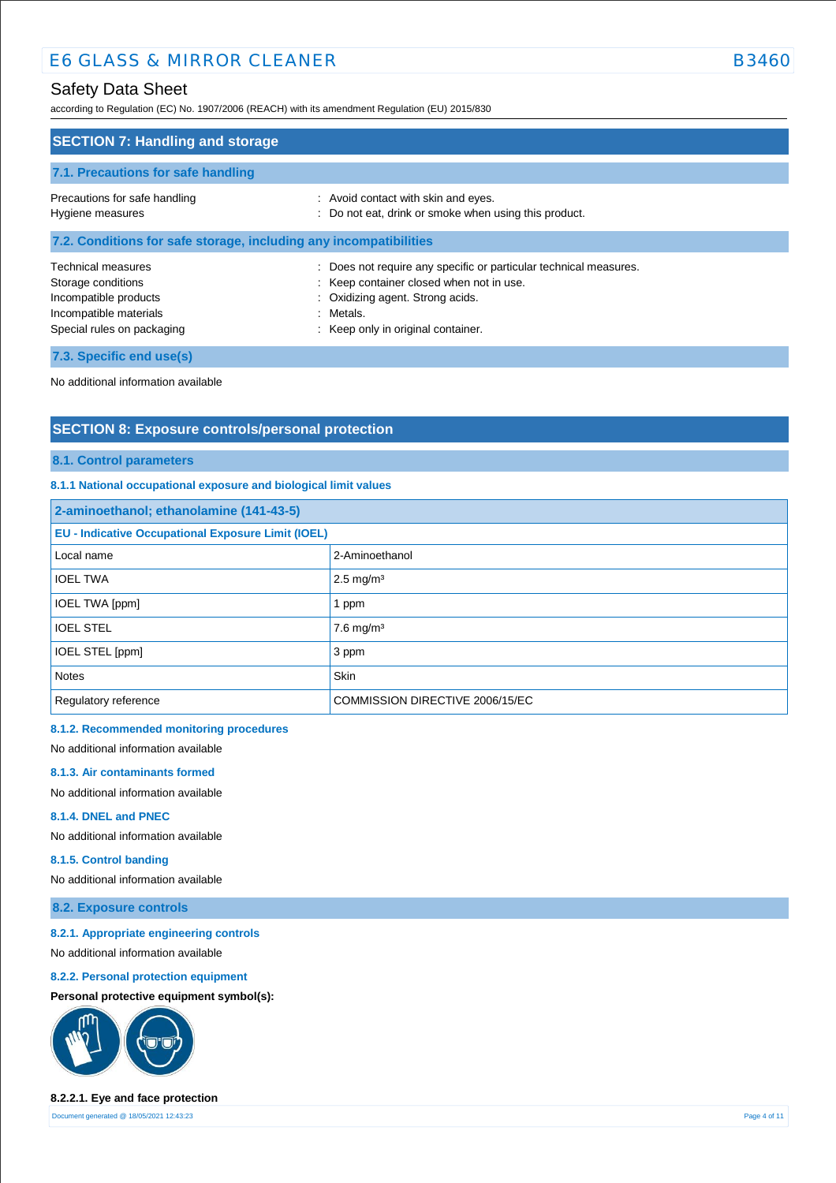according to Regulation (EC) No. 1907/2006 (REACH) with its amendment Regulation (EU) 2015/830

| <b>SECTION 7: Handling and storage</b>                                                                                    |                                                                                                                                                                                                      |  |
|---------------------------------------------------------------------------------------------------------------------------|------------------------------------------------------------------------------------------------------------------------------------------------------------------------------------------------------|--|
| 7.1. Precautions for safe handling                                                                                        |                                                                                                                                                                                                      |  |
| Precautions for safe handling<br>Hygiene measures                                                                         | : Avoid contact with skin and eyes.<br>: Do not eat, drink or smoke when using this product.                                                                                                         |  |
| 7.2. Conditions for safe storage, including any incompatibilities                                                         |                                                                                                                                                                                                      |  |
| Technical measures<br>Storage conditions<br>Incompatible products<br>Incompatible materials<br>Special rules on packaging | : Does not require any specific or particular technical measures.<br>: Keep container closed when not in use.<br>: Oxidizing agent. Strong acids.<br>: Metals.<br>: Keep only in original container. |  |
| 7.3. Specific end use(s)                                                                                                  |                                                                                                                                                                                                      |  |

No additional information available

# **SECTION 8: Exposure controls/personal protection**

#### **8.1. Control parameters**

#### **8.1.1 National occupational exposure and biological limit values**

| 2-aminoethanol; ethanolamine (141-43-5)                   |                                 |  |
|-----------------------------------------------------------|---------------------------------|--|
| <b>EU - Indicative Occupational Exposure Limit (IOEL)</b> |                                 |  |
| Local name                                                | 2-Aminoethanol                  |  |
| <b>IOEL TWA</b>                                           | $2.5 \text{ mg/m}^3$            |  |
| <b>IOEL TWA [ppm]</b>                                     | 1 ppm                           |  |
| <b>IOEL STEL</b>                                          | $7.6$ mg/m <sup>3</sup>         |  |
| IOEL STEL [ppm]                                           | 3 ppm                           |  |
| <b>Notes</b>                                              | Skin                            |  |
| Regulatory reference                                      | COMMISSION DIRECTIVE 2006/15/EC |  |

#### **8.1.2. Recommended monitoring procedures**

No additional information available

#### **8.1.3. Air contaminants formed**

No additional information available

#### **8.1.4. DNEL and PNEC**

No additional information available

#### **8.1.5. Control banding**

No additional information available

**8.2. Exposure controls**

### **8.2.1. Appropriate engineering controls**

No additional information available

### **8.2.2. Personal protection equipment**

### **Personal protective equipment symbol(s):**



#### **8.2.2.1. Eye and face protection**

Document generated @ 18/05/2021 12:43:23 Page 4 of 11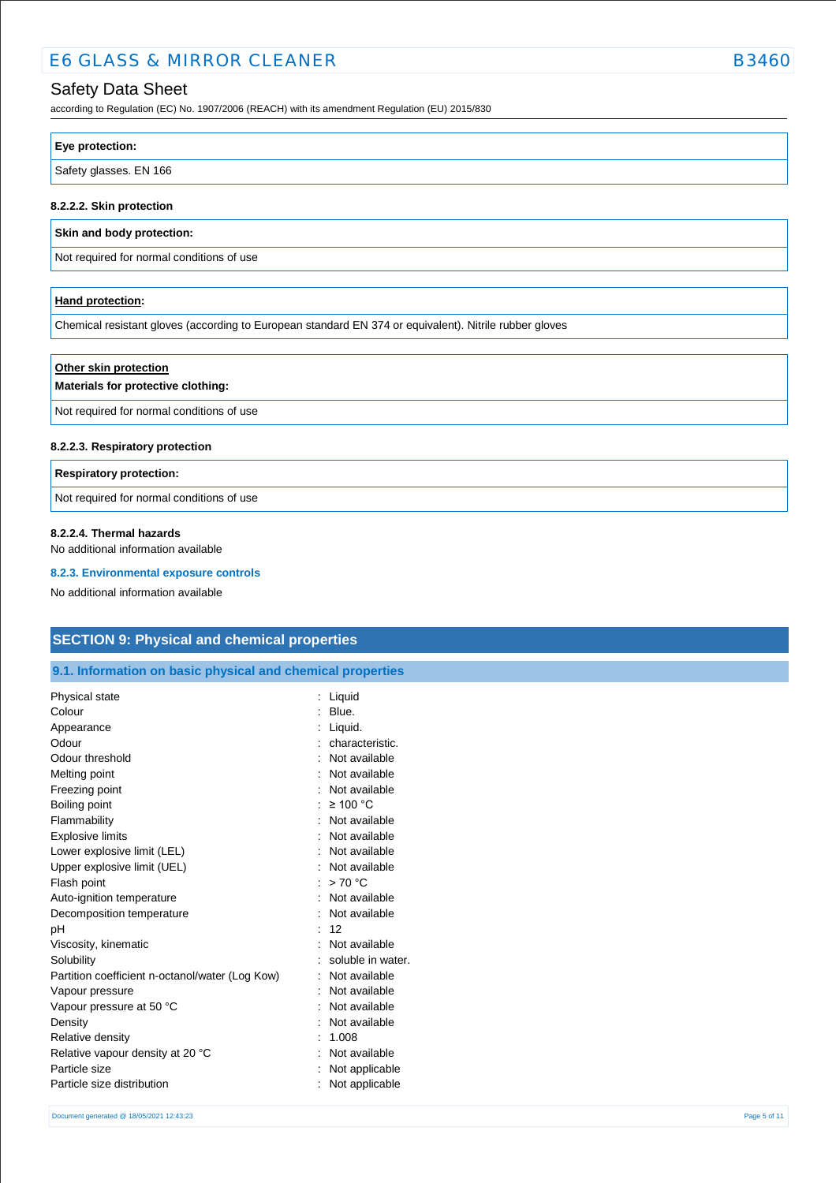# E6 GLASS & MIRROR CLEANER B3460

### Safety Data Sheet

according to Regulation (EC) No. 1907/2006 (REACH) with its amendment Regulation (EU) 2015/830

| Eye protection:        |  |
|------------------------|--|
| Safety glasses. EN 166 |  |
|                        |  |

### **8.2.2.2. Skin protection**

#### **Skin and body protection:**

Not required for normal conditions of use

### **Hand protection:**

Chemical resistant gloves (according to European standard EN 374 or equivalent). Nitrile rubber gloves

# **Other skin protection Materials for protective clothing:** Not required for normal conditions of use

#### **8.2.2.3. Respiratory protection**

#### **Respiratory protection:**

Not required for normal conditions of use

#### **8.2.2.4. Thermal hazards**

No additional information available

#### **8.2.3. Environmental exposure controls**

No additional information available

# **SECTION 9: Physical and chemical properties**

**9.1. Information on basic physical and chemical properties**

| Physical state                                  | Liquid            |
|-------------------------------------------------|-------------------|
| Colour                                          | Blue.             |
| Appearance                                      | Liquid.           |
| Odour                                           | characteristic.   |
| Odour threshold                                 | Not available     |
| Melting point                                   | Not available     |
| Freezing point                                  | Not available     |
| Boiling point                                   | $\geq 100$ °C     |
| Flammability                                    | Not available     |
| <b>Explosive limits</b>                         | Not available     |
| Lower explosive limit (LEL)                     | Not available     |
| Upper explosive limit (UEL)                     | Not available     |
| Flash point                                     | >70 °C            |
| Auto-ignition temperature                       | Not available     |
| Decomposition temperature                       | Not available     |
| рH                                              | 12                |
| Viscosity, kinematic                            | Not available     |
| Solubility                                      | soluble in water. |
| Partition coefficient n-octanol/water (Log Kow) | Not available     |
| Vapour pressure                                 | Not available     |
| Vapour pressure at 50 °C                        | Not available     |
| Density                                         | Not available     |
| Relative density                                | 1.008             |
| Relative vapour density at 20 °C                | Not available     |
| Particle size                                   | Not applicable    |
| Particle size distribution                      | Not applicable    |
|                                                 |                   |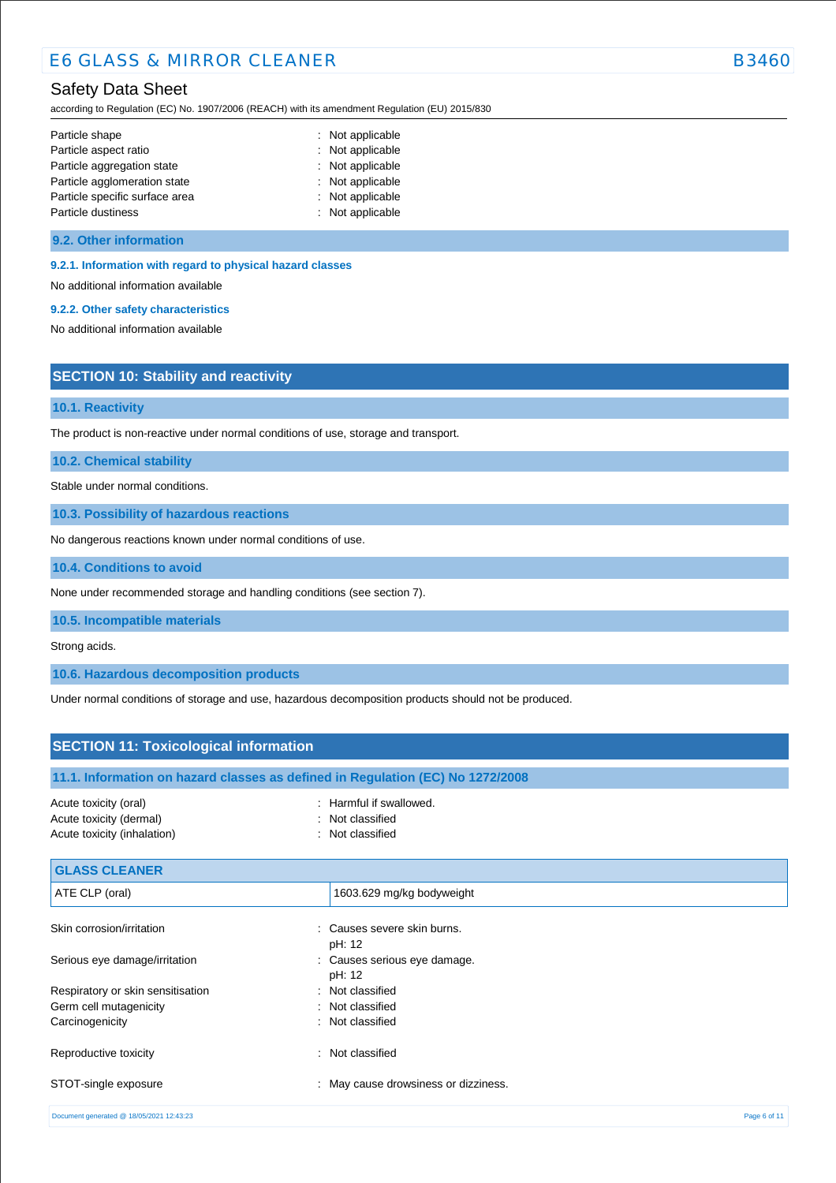according to Regulation (EC) No. 1907/2006 (REACH) with its amendment Regulation (EU) 2015/830

| Particle shape                 | : Not applicable |
|--------------------------------|------------------|
| Particle aspect ratio          | : Not applicable |
| Particle aggregation state     | : Not applicable |
| Particle agglomeration state   | : Not applicable |
| Particle specific surface area | : Not applicable |
| Particle dustiness             | : Not applicable |

The product is non-reactive under normal conditions of use, storage and transport.

### **9.2. Other information**

#### **9.2.1. Information with regard to physical hazard classes**

No additional information available

### **9.2.2. Other safety characteristics**

**SECTION 10: Stability and reactivity**

**10.3. Possibility of hazardous reactions**

No dangerous reactions known under normal conditions of use.

No additional information available

**10.1. Reactivity**

**10.2. Chemical stability** Stable under normal conditions.

**10.4. Conditions to avoid**

| וטיד. סטומונוסופי                                                               |                                                                                                      |              |
|---------------------------------------------------------------------------------|------------------------------------------------------------------------------------------------------|--------------|
| None under recommended storage and handling conditions (see section 7).         |                                                                                                      |              |
| 10.5. Incompatible materials                                                    |                                                                                                      |              |
| Strong acids.                                                                   |                                                                                                      |              |
| 10.6. Hazardous decomposition products                                          |                                                                                                      |              |
|                                                                                 | Under normal conditions of storage and use, hazardous decomposition products should not be produced. |              |
| <b>SECTION 11: Toxicological information</b>                                    |                                                                                                      |              |
|                                                                                 | 11.1. Information on hazard classes as defined in Regulation (EC) No 1272/2008                       |              |
| Acute toxicity (oral)<br>Acute toxicity (dermal)<br>Acute toxicity (inhalation) | : Harmful if swallowed.<br>: Not classified<br>: Not classified                                      |              |
| <b>GLASS CLEANER</b>                                                            |                                                                                                      |              |
| ATE CLP (oral)                                                                  | 1603.629 mg/kg bodyweight                                                                            |              |
| Skin corrosion/irritation                                                       | : Causes severe skin burns.<br>pH: 12                                                                |              |
| Serious eye damage/irritation                                                   | : Causes serious eye damage.<br>pH: 12                                                               |              |
| Respiratory or skin sensitisation                                               | : Not classified                                                                                     |              |
| Germ cell mutagenicity                                                          | Not classified                                                                                       |              |
| Carcinogenicity                                                                 | : Not classified                                                                                     |              |
| Reproductive toxicity                                                           | : Not classified                                                                                     |              |
| STOT-single exposure                                                            | : May cause drowsiness or dizziness.                                                                 |              |
| Document generated @ 18/05/2021 12:43:23                                        |                                                                                                      | Page 6 of 11 |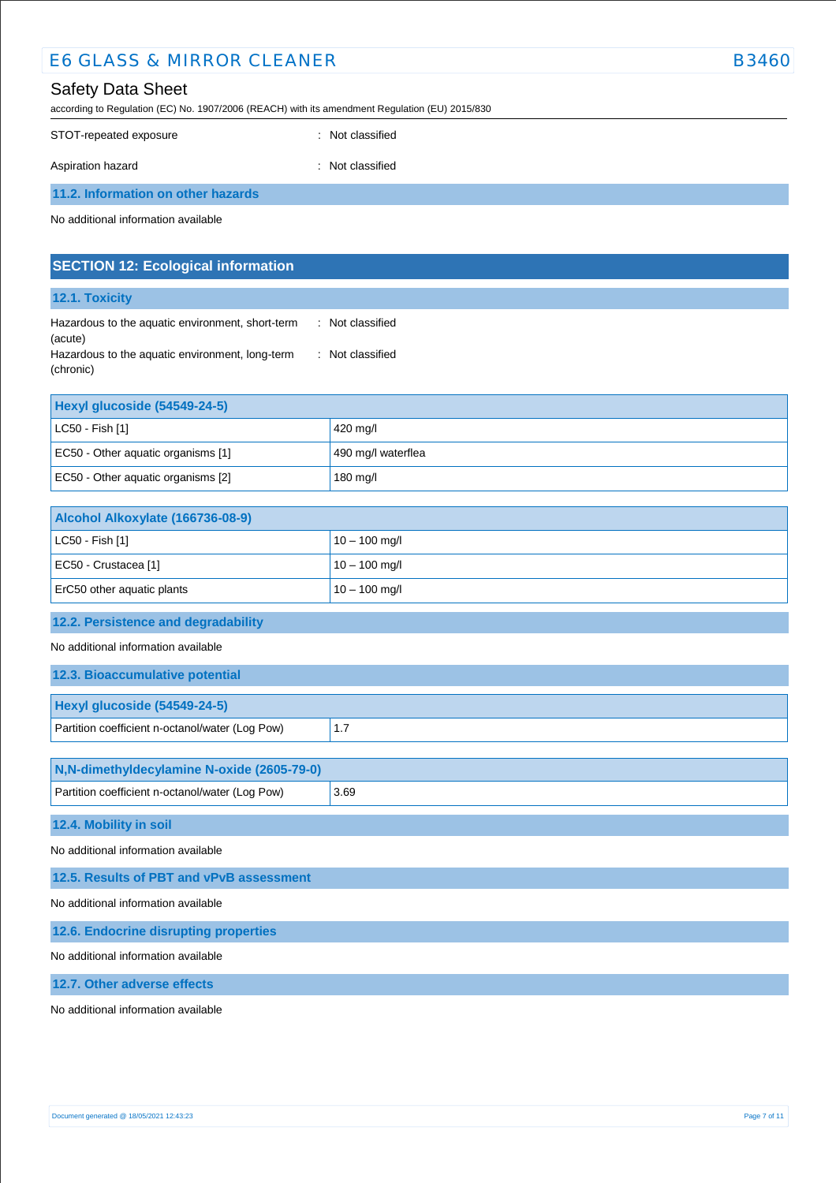| <b>E6 GLASS &amp; MIRROR CLEANER</b>                                                                                       | <b>B3460</b>                         |  |  |
|----------------------------------------------------------------------------------------------------------------------------|--------------------------------------|--|--|
| <b>Safety Data Sheet</b><br>according to Regulation (EC) No. 1907/2006 (REACH) with its amendment Regulation (EU) 2015/830 |                                      |  |  |
| STOT-repeated exposure                                                                                                     | : Not classified                     |  |  |
| Aspiration hazard                                                                                                          | : Not classified                     |  |  |
| 11.2. Information on other hazards                                                                                         |                                      |  |  |
| No additional information available                                                                                        |                                      |  |  |
| <b>SECTION 12: Ecological information</b>                                                                                  |                                      |  |  |
| 12.1. Toxicity                                                                                                             |                                      |  |  |
| Hazardous to the aquatic environment, short-term<br>(acute)                                                                | : Not classified<br>: Not classified |  |  |
| Hazardous to the aquatic environment, long-term<br>(chronic)                                                               |                                      |  |  |
| Hexyl glucoside (54549-24-5)                                                                                               |                                      |  |  |
| LC50 - Fish [1]                                                                                                            | 420 mg/l                             |  |  |
| EC50 - Other aquatic organisms [1]                                                                                         | 490 mg/l waterflea                   |  |  |
| EC50 - Other aquatic organisms [2]                                                                                         | 180 mg/l                             |  |  |
| Alcohol Alkoxylate (166736-08-9)                                                                                           |                                      |  |  |
| LC50 - Fish [1]                                                                                                            | $10 - 100$ mg/l                      |  |  |
| EC50 - Crustacea [1]                                                                                                       | $10 - 100$ mg/l                      |  |  |
| ErC50 other aquatic plants                                                                                                 | $10 - 100$ mg/l                      |  |  |
| 12.2. Persistence and degradability                                                                                        |                                      |  |  |
| No additional information available                                                                                        |                                      |  |  |
| 12.3. Bioaccumulative potential                                                                                            |                                      |  |  |
| Hexyl glucoside (54549-24-5)                                                                                               |                                      |  |  |
| Partition coefficient n-octanol/water (Log Pow)                                                                            | 1.7                                  |  |  |
| N,N-dimethyldecylamine N-oxide (2605-79-0)                                                                                 |                                      |  |  |
| Partition coefficient n-octanol/water (Log Pow)                                                                            | 3.69                                 |  |  |
| 12.4. Mobility in soil                                                                                                     |                                      |  |  |
| No additional information available                                                                                        |                                      |  |  |
| 12.5. Results of PBT and vPvB assessment                                                                                   |                                      |  |  |
| No additional information available                                                                                        |                                      |  |  |
| 12.6. Endocrine disrupting properties                                                                                      |                                      |  |  |
| No additional information available                                                                                        |                                      |  |  |
| 12.7. Other adverse effects                                                                                                |                                      |  |  |

No additional information available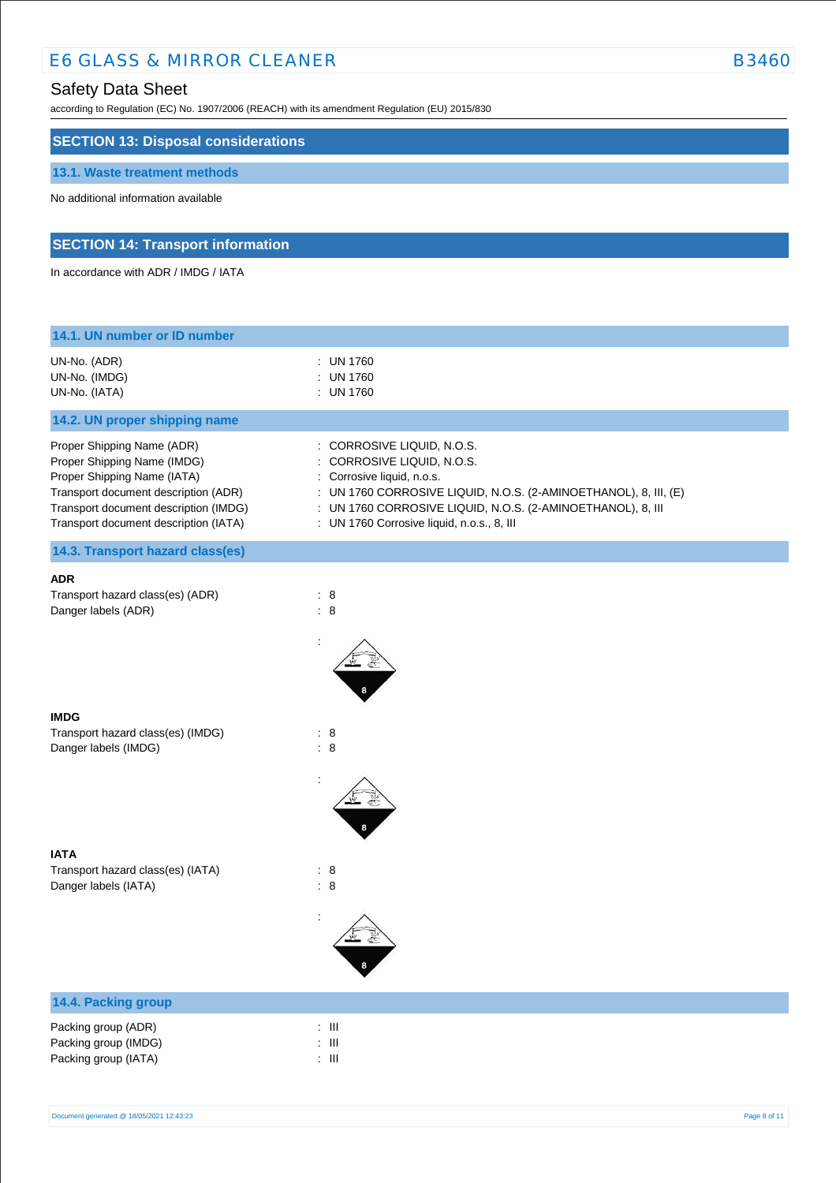# E6 GLASS & MIRROR CLEANER B3460

# Safety Data Sheet

according to Regulation (EC) No. 1907/2006 (REACH) with its amendment Regulation (EU) 2015/830

### **SECTION 13: Disposal considerations**

#### **13.1. Waste treatment methods**

No additional information available

# **SECTION 14: Transport information**

In accordance with ADR / IMDG / IATA

| 14.1. UN number or ID number                                                                                                                                                                                       |                                                                                                                                                                                                                                                                         |
|--------------------------------------------------------------------------------------------------------------------------------------------------------------------------------------------------------------------|-------------------------------------------------------------------------------------------------------------------------------------------------------------------------------------------------------------------------------------------------------------------------|
| UN-No. (ADR)<br>UN-No. (IMDG)<br>UN-No. (IATA)                                                                                                                                                                     | : UN 1760<br>: UN 1760<br>: UN 1760                                                                                                                                                                                                                                     |
| 14.2. UN proper shipping name                                                                                                                                                                                      |                                                                                                                                                                                                                                                                         |
| Proper Shipping Name (ADR)<br>Proper Shipping Name (IMDG)<br>Proper Shipping Name (IATA)<br>Transport document description (ADR)<br>Transport document description (IMDG)<br>Transport document description (IATA) | : CORROSIVE LIQUID, N.O.S.<br>: CORROSIVE LIQUID, N.O.S.<br>: Corrosive liquid, n.o.s.<br>: UN 1760 CORROSIVE LIQUID, N.O.S. (2-AMINOETHANOL), 8, III, (E)<br>: UN 1760 CORROSIVE LIQUID, N.O.S. (2-AMINOETHANOL), 8, III<br>: UN 1760 Corrosive liquid, n.o.s., 8, III |
| 14.3. Transport hazard class(es)                                                                                                                                                                                   |                                                                                                                                                                                                                                                                         |
| <b>ADR</b><br>Transport hazard class(es) (ADR)<br>Danger labels (ADR)                                                                                                                                              | : 8<br>$\therefore$ 8                                                                                                                                                                                                                                                   |
| <b>IMDG</b>                                                                                                                                                                                                        |                                                                                                                                                                                                                                                                         |
| Transport hazard class(es) (IMDG)<br>Danger labels (IMDG)                                                                                                                                                          | : 8<br>$\therefore$ 8                                                                                                                                                                                                                                                   |
|                                                                                                                                                                                                                    |                                                                                                                                                                                                                                                                         |
| <b>IATA</b><br>Transport hazard class(es) (IATA)<br>Danger labels (IATA)                                                                                                                                           | $\therefore$ 8<br>$\therefore$ 8                                                                                                                                                                                                                                        |
|                                                                                                                                                                                                                    |                                                                                                                                                                                                                                                                         |
| 14.4. Packing group                                                                                                                                                                                                |                                                                                                                                                                                                                                                                         |
| Packing group (ADR)<br>Packing group (IMDG)<br>Packing group (IATA)                                                                                                                                                | : $\,$ III<br>: $\,$ III<br>: $\,$ III                                                                                                                                                                                                                                  |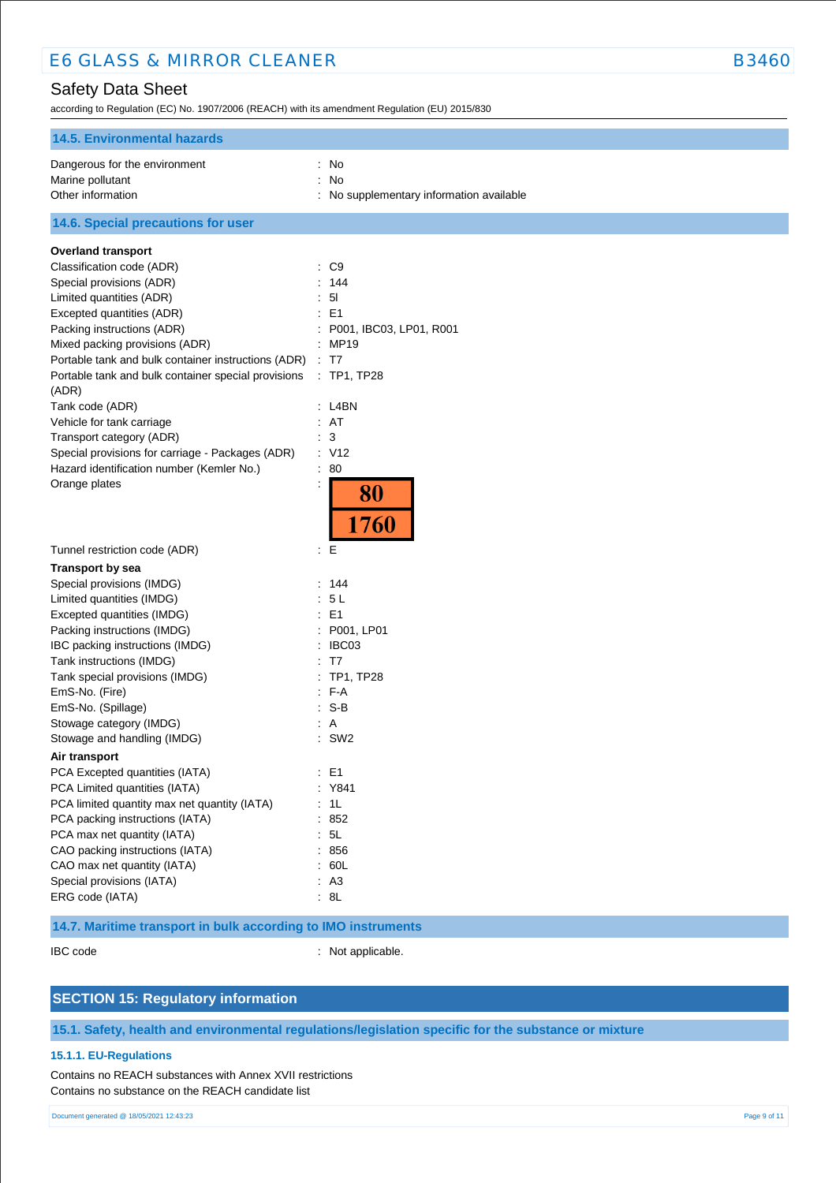according to Regulation (EC) No. 1907/2006 (REACH) with its amendment Regulation (EU) 2015/830

| <b>14.5. Environmental hazards</b>                           |                                          |
|--------------------------------------------------------------|------------------------------------------|
| Dangerous for the environment                                | : No                                     |
| Marine pollutant                                             | ÷.<br>No                                 |
| Other information                                            | : No supplementary information available |
| 14.6. Special precautions for user                           |                                          |
| <b>Overland transport</b>                                    |                                          |
| Classification code (ADR)                                    | : C9                                     |
| Special provisions (ADR)                                     | 144                                      |
| Limited quantities (ADR)                                     | 5 <sub>l</sub>                           |
| Excepted quantities (ADR)                                    | E <sub>1</sub>                           |
| Packing instructions (ADR)                                   | P001, IBC03, LP01, R001                  |
| Mixed packing provisions (ADR)                               | : MP19                                   |
| Portable tank and bulk container instructions (ADR)          | : T7                                     |
| Portable tank and bulk container special provisions<br>(ADR) | : TP1, TP28                              |
| Tank code (ADR)                                              | : L4BN                                   |
| Vehicle for tank carriage                                    | : AT                                     |
| Transport category (ADR)                                     | : 3                                      |
| Special provisions for carriage - Packages (ADR)             | : V12                                    |
| Hazard identification number (Kemler No.)                    | : 80                                     |
| Orange plates                                                | $\ddot{\cdot}$                           |
|                                                              | 80                                       |
|                                                              |                                          |
|                                                              | 1760                                     |
| Tunnel restriction code (ADR)                                | E                                        |
| <b>Transport by sea</b>                                      |                                          |
| Special provisions (IMDG)                                    | : 144                                    |
| Limited quantities (IMDG)                                    | : 5L                                     |
| Excepted quantities (IMDG)                                   | : E1                                     |
| Packing instructions (IMDG)                                  | : P001, LP01                             |
| IBC packing instructions (IMDG)                              | IBC03                                    |
| Tank instructions (IMDG)                                     | T7                                       |
| Tank special provisions (IMDG)                               | TP1, TP28                                |
| EmS-No. (Fire)                                               | $F-A$                                    |
| EmS-No. (Spillage)                                           | $S-B$                                    |
| Stowage category (IMDG)                                      | : A                                      |
| Stowage and handling (IMDG)                                  | $:$ SW2                                  |
| Air transport                                                |                                          |
| PCA Excepted quantities (IATA)                               | $\therefore$ E1                          |
| PCA Limited quantities (IATA)                                | : Y841                                   |
| PCA limited quantity max net quantity (IATA)                 | : 1L                                     |
| PCA packing instructions (IATA)                              | : 852                                    |
| PCA max net quantity (IATA)                                  | : 5L                                     |
| CAO packing instructions (IATA)                              | : 856                                    |
| CAO max net quantity (IATA)                                  | : 60L                                    |
| Special provisions (IATA)                                    | : A3                                     |
| ERG code (IATA)                                              | : 8L                                     |

### **14.7. Maritime transport in bulk according to IMO instruments**

IBC code : Not applicable.

### **SECTION 15: Regulatory information**

**15.1. Safety, health and environmental regulations/legislation specific for the substance or mixture**

#### **15.1.1. EU-Regulations**

Contains no REACH substances with Annex XVII restrictions Contains no substance on the REACH candidate list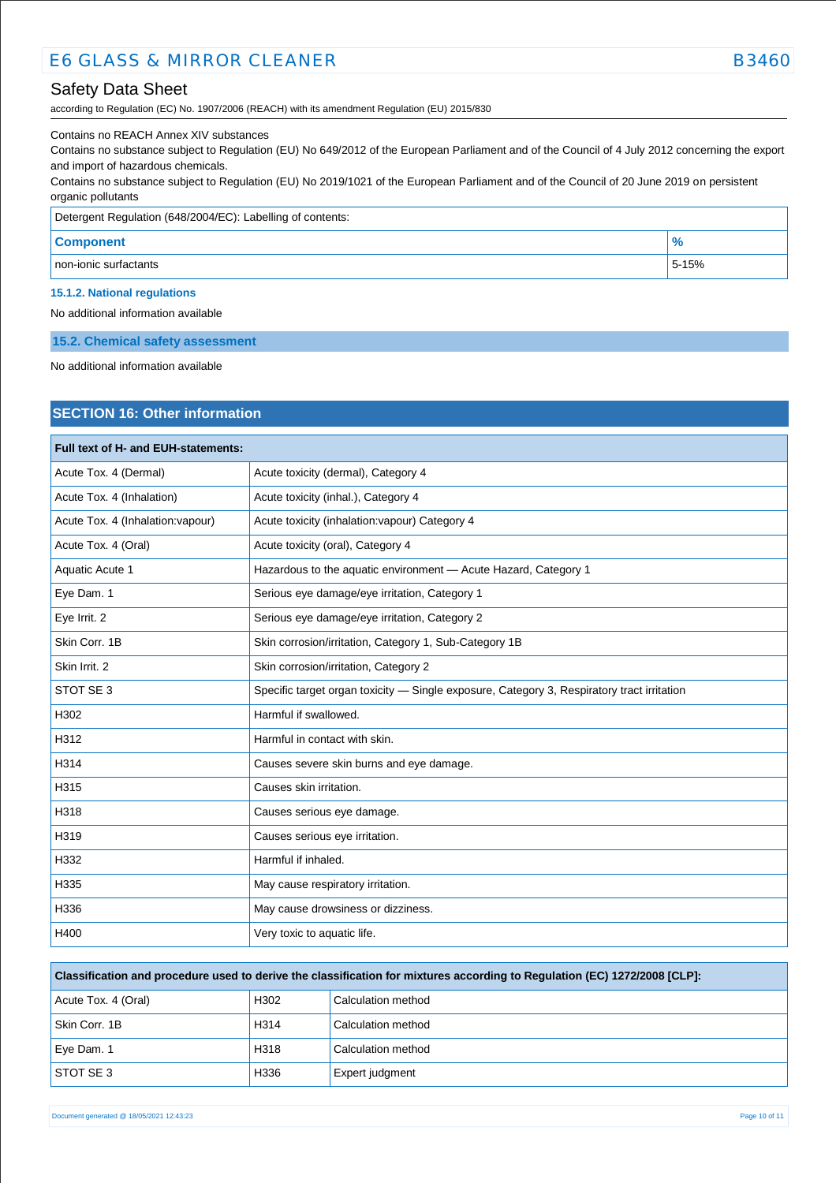according to Regulation (EC) No. 1907/2006 (REACH) with its amendment Regulation (EU) 2015/830

#### Contains no REACH Annex XIV substances

Contains no substance subject to Regulation (EU) No 649/2012 of the European Parliament and of the Council of 4 July 2012 concerning the export and import of hazardous chemicals.

Contains no substance subject to Regulation (EU) No 2019/1021 of the European Parliament and of the Council of 20 June 2019 on persistent organic pollutants

| Detergent Regulation (648/2004/EC): Labelling of contents: |               |  |
|------------------------------------------------------------|---------------|--|
| <b>Component</b>                                           | $\frac{9}{6}$ |  |
| non-ionic surfactants                                      | 5-15%         |  |

# **15.1.2. National regulations**

No additional information available

#### **15.2. Chemical safety assessment**

No additional information available

### **SECTION 16: Other information**

| Full text of H- and EUH-statements: |                                                                                            |  |
|-------------------------------------|--------------------------------------------------------------------------------------------|--|
| Acute Tox. 4 (Dermal)               | Acute toxicity (dermal), Category 4                                                        |  |
| Acute Tox. 4 (Inhalation)           | Acute toxicity (inhal.), Category 4                                                        |  |
| Acute Tox. 4 (Inhalation: vapour)   | Acute toxicity (inhalation: vapour) Category 4                                             |  |
| Acute Tox. 4 (Oral)                 | Acute toxicity (oral), Category 4                                                          |  |
| Aquatic Acute 1                     | Hazardous to the aquatic environment - Acute Hazard, Category 1                            |  |
| Eye Dam. 1                          | Serious eye damage/eye irritation, Category 1                                              |  |
| Eye Irrit. 2                        | Serious eye damage/eye irritation, Category 2                                              |  |
| Skin Corr. 1B                       | Skin corrosion/irritation, Category 1, Sub-Category 1B                                     |  |
| Skin Irrit. 2                       | Skin corrosion/irritation, Category 2                                                      |  |
| STOT SE 3                           | Specific target organ toxicity - Single exposure, Category 3, Respiratory tract irritation |  |
| H302                                | Harmful if swallowed.                                                                      |  |
| H312                                | Harmful in contact with skin.                                                              |  |
| H314                                | Causes severe skin burns and eye damage.                                                   |  |
| H315                                | Causes skin irritation.                                                                    |  |
| H318                                | Causes serious eye damage.                                                                 |  |
| H319                                | Causes serious eye irritation.                                                             |  |
| H332                                | Harmful if inhaled.                                                                        |  |
| H335                                | May cause respiratory irritation.                                                          |  |
| H336                                | May cause drowsiness or dizziness.                                                         |  |
| H400                                | Very toxic to aquatic life.                                                                |  |

| Classification and procedure used to derive the classification for mixtures according to Regulation (EC) 1272/2008 [CLP]: |                    |  |  |
|---------------------------------------------------------------------------------------------------------------------------|--------------------|--|--|
| H <sub>302</sub>                                                                                                          | Calculation method |  |  |
| H <sub>314</sub>                                                                                                          | Calculation method |  |  |
|                                                                                                                           |                    |  |  |

Eye Dam. 1 **H318** Calculation method STOT SE 3 H336 Expert judgment